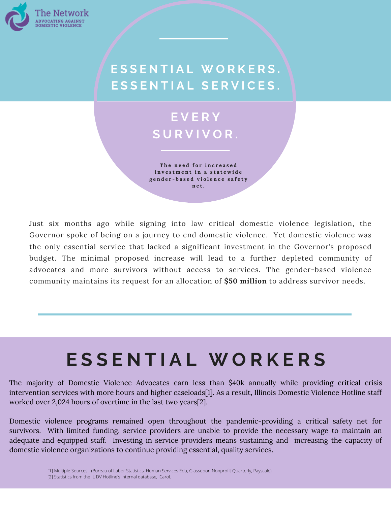

## **E S S E N T I A L W O R K E R S . E S S E N T I A L S E R V I C E S .**

## **E V E R Y S U R V I V O R .**

**T h e n e e d f o r i n c r e a s e d i n v e s t m e n t i n a s t a t e w id e** gender-based violence safety **n e t .**

Just six months ago while signing into law critical domestic violence legislation, the Governor spoke of being on a journey to end domestic violence. Yet domestic violence was the only essential service that lacked a significant investment in the Governor's proposed budget. The minimal proposed increase will lead to a further depleted community of advocates and more survivors without access to services. The gender-based violence community maintains its request for an allocation of **\$50 million** to address survivor needs.

# **E S S E N T I A L W O R K E R S**

The majority of Domestic Violence Advocates earn less than \$40k annually while providing critical crisis intervention services with more hours and higher caseloads[1]. As a result, Illinois Domestic Violence Hotline staff worked over 2,024 hours of overtime in the last two years[2].

Domestic violence programs remained open throughout the pandemic-providing a critical safety net for survivors. With limited funding, service providers are unable to provide the necessary wage to maintain an adequate and equipped staff. Investing in service providers means sustaining and increasing the capacity of domestic violence organizations to continue providing essential, quality services.